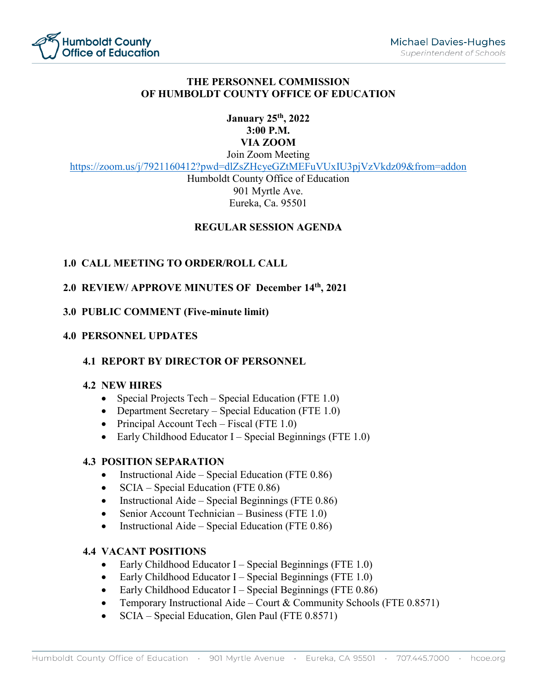

# **THE PERSONNEL COMMISSION OF HUMBOLDT COUNTY OFFICE OF EDUCATION**

# **January 25th, 2022 3:00 P.M. VIA ZOOM**

Join Zoom Meeting

<https://zoom.us/j/7921160412?pwd=dlZsZHcyeGZtMEFuVUxIU3pjVzVkdz09&from=addon>

Humboldt County Office of Education 901 Myrtle Ave. Eureka, Ca. 95501

# **REGULAR SESSION AGENDA**

# **1.0 CALL MEETING TO ORDER/ROLL CALL**

## **2.0 REVIEW/ APPROVE MINUTES OF December 14th, 2021**

## **3.0 PUBLIC COMMENT (Five-minute limit)**

#### **4.0 PERSONNEL UPDATES**

## **4.1 REPORT BY DIRECTOR OF PERSONNEL**

#### **4.2 NEW HIRES**

- Special Projects Tech Special Education (FTE 1.0)
- Department Secretary Special Education (FTE 1.0)
- Principal Account Tech Fiscal (FTE 1.0)
- Early Childhood Educator I Special Beginnings (FTE  $1.0$ )

#### **4.3 POSITION SEPARATION**

- Instructional Aide Special Education (FTE 0.86)
- SCIA Special Education (FTE 0.86)
- Instructional Aide Special Beginnings (FTE 0.86)
- Senior Account Technician Business (FTE 1.0)
- Instructional Aide Special Education (FTE 0.86)

# **4.4 VACANT POSITIONS**

- Early Childhood Educator I Special Beginnings (FTE 1.0)
- Early Childhood Educator I Special Beginnings (FTE 1.0)
- Early Childhood Educator I Special Beginnings (FTE 0.86)
- Temporary Instructional Aide Court & Community Schools (FTE  $0.8571$ )
- SCIA Special Education, Glen Paul (FTE 0.8571)